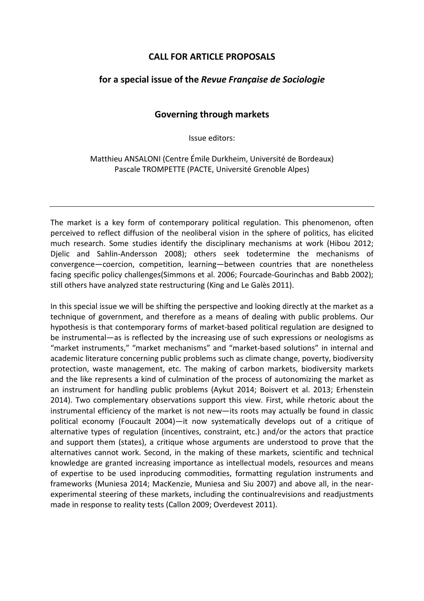## **CALL FOR ARTICLE PROPOSALS**

## **for a special issue of the** *Revue Française de Sociologie*

## **Governing through markets**

Issue editors:

Matthieu ANSALONI (Centre Émile Durkheim, Université de Bordeaux) Pascale TROMPETTE (PACTE, Université Grenoble Alpes)

The market is a key form of contemporary political regulation. This phenomenon, often perceived to reflect diffusion of the neoliberal vision in the sphere of politics, has elicited much research. Some studies identify the disciplinary mechanisms at work (Hibou 2012; Djelic and Sahlin-Andersson 2008); others seek todetermine the mechanisms of convergence—coercion, competition, learning—between countries that are nonetheless facing specific policy challenges(Simmons et al. 2006; Fourcade-Gourinchas and Babb 2002); still others have analyzed state restructuring (King and Le Galès 2011).

In this special issue we will be shifting the perspective and looking directly at the market as a technique of government, and therefore as a means of dealing with public problems. Our hypothesis is that contemporary forms of market-based political regulation are designed to be instrumental—as is reflected by the increasing use of such expressions or neologisms as "market instruments," "market mechanisms" and "market-based solutions" in internal and academic literature concerning public problems such as climate change, poverty, biodiversity protection, waste management, etc. The making of carbon markets, biodiversity markets and the like represents a kind of culmination of the process of autonomizing the market as an instrument for handling public problems (Aykut 2014; Boisvert et al. 2013; Erhenstein 2014). Two complementary observations support this view. First, while rhetoric about the instrumental efficiency of the market is not new—its roots may actually be found in classic political economy (Foucault 2004)—it now systematically develops out of a critique of alternative types of regulation (incentives, constraint, etc.) and/or the actors that practice and support them (states), a critique whose arguments are understood to prove that the alternatives cannot work. Second, in the making of these markets, scientific and technical knowledge are granted increasing importance as intellectual models, resources and means of expertise to be used inproducing commodities, formatting regulation instruments and frameworks (Muniesa 2014; MacKenzie, Muniesa and Siu 2007) and above all, in the nearexperimental steering of these markets, including the continualrevisions and readjustments made in response to reality tests (Callon 2009; Overdevest 2011).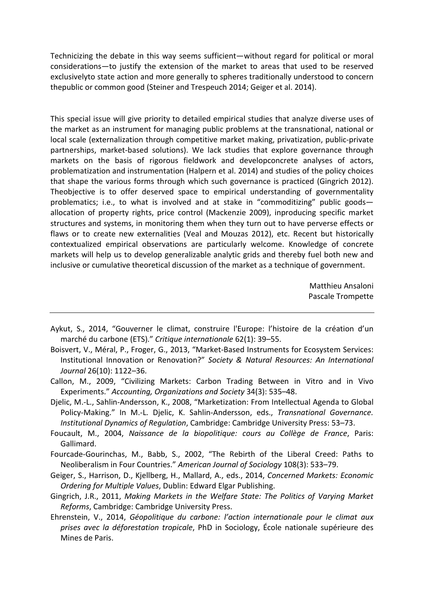Technicizing the debate in this way seems sufficient—without regard for political or moral considerations—to justify the extension of the market to areas that used to be reserved exclusivelyto state action and more generally to spheres traditionally understood to concern thepublic or common good (Steiner and Trespeuch 2014; Geiger et al. 2014).

This special issue will give priority to detailed empirical studies that analyze diverse uses of the market as an instrument for managing public problems at the transnational, national or local scale (externalization through competitive market making, privatization, public-private partnerships, market-based solutions). We lack studies that explore governance through markets on the basis of rigorous fieldwork and developconcrete analyses of actors, problematization and instrumentation (Halpern et al. 2014) and studies of the policy choices that shape the various forms through which such governance is practiced (Gingrich 2012). Theobjective is to offer deserved space to empirical understanding of governmentality problematics; i.e., to what is involved and at stake in "commoditizing" public goods allocation of property rights, price control (Mackenzie 2009), inproducing specific market structures and systems, in monitoring them when they turn out to have perverse effects or flaws or to create new externalities (Veal and Mouzas 2012), etc. Recent but historically contextualized empirical observations are particularly welcome. Knowledge of concrete markets will help us to develop generalizable analytic grids and thereby fuel both new and inclusive or cumulative theoretical discussion of the market as a technique of government.

> Matthieu Ansaloni Pascale Trompette

- Aykut, S., 2014, "Gouverner le climat, construire l'Europe: l'histoire de la création d'un marché du carbone (ETS)." *Critique internationale* 62(1): 39–55.
- Boisvert, V., Méral, P., Froger, G., 2013, "Market-Based Instruments for Ecosystem Services: Institutional Innovation or Renovation?" *Society & Natural Resources: An International Journal* 26(10): 1122–36.
- Callon, M., 2009, "Civilizing Markets: Carbon Trading Between in Vitro and in Vivo Experiments." *Accounting, Organizations and Society* 34(3): 535–48.
- Djelic, M.-L., Sahlin-Andersson, K., 2008, "Marketization: From Intellectual Agenda to Global Policy-Making." In M.-L. Djelic, K. Sahlin-Andersson, eds., *Transnational Governance. Institutional Dynamics of Regulation*, Cambridge: Cambridge University Press: 53–73.
- Foucault, M., 2004, *Naissance de la biopolitique: cours au Collège de France*, Paris: Gallimard.
- Fourcade-Gourinchas, M., Babb, S., 2002, "The Rebirth of the Liberal Creed: Paths to Neoliberalism in Four Countries." *American Journal of Sociology* 108(3): 533–79.
- Geiger, S., Harrison, D., Kjellberg, H., Mallard, A., eds., 2014, *Concerned Markets: Economic Ordering for Multiple Values*, Dublin: Edward Elgar Publishing.
- Gingrich, J.R., 2011, *Making Markets in the Welfare State: The Politics of Varying Market Reforms*, Cambridge: Cambridge University Press.
- Ehrenstein, V., 2014, *Géopolitique du carbone: l'action internationale pour le climat aux prises avec la déforestation tropicale*, PhD in Sociology, École nationale supérieure des Mines de Paris.